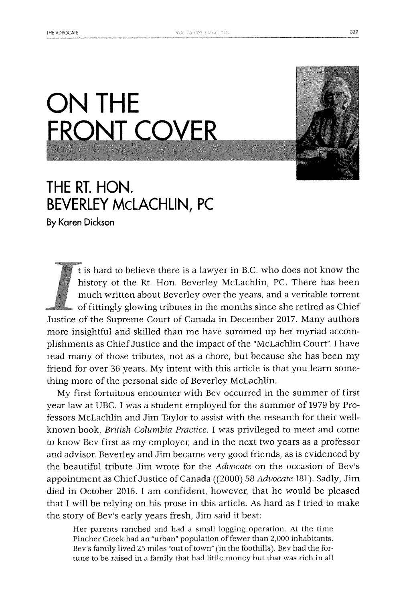## **ON THE FRONT COVER**



**By Karen Dickson**

t is hard to believe there is a lawyer in B.C. who does not know the history of the Rt. Hon. Beverley McLachlin, **PC.** There has been much written about Beverley over the years, and a veritable torrent of fittingly glowing tributes in the months since she retired as Chief Justice of the Supreme Court of Canada in December **2017.** Many authors more insightful and skilled than me have summed up her myriad accomplishments as Chief Justice and the impact of the "McLachlin Court". **I** have read many of those tributes, not as a chore, but because she has been my friend for over **36** years. **My** intent with this article is that you learn something more of the personal side of Beverley McLachlin.

**My** first fortuitous encounter with Bev occurred in the summer of first year law at **UBC. I** was a student employed for the summer of **1979 by** Professors McLachlin and Jim Taylor to assist with the research for their wellknown book, *British Columbia Practice.* **I** was privileged to meet and come to know Bev first as my employer, and in the next two years as a professor and advisor. Beverley and Jim became very good friends, as is evidenced **by** the beautiful tribute Jim wrote for the *Advocate* on the occasion of Bev's appointment as Chief Justice of Canada ((2000) **58** *Advocate* **181).** Sadly, Jim died in October **2016. 1** am confident, however, that he would be pleased that **I** will be relying on his prose in this article. As hard as **I** tried to make the story of Bev's early years fresh, Jim said it best:

Her parents ranched and had a small logging operation. At the time Pincher Creek had an "urban" population of fewer than 2,000 inhabitants. Bev's family lived **25** miles "out of town" (in the foothills). Bev had the fortune to be raised in a family that had little money but that was rich in all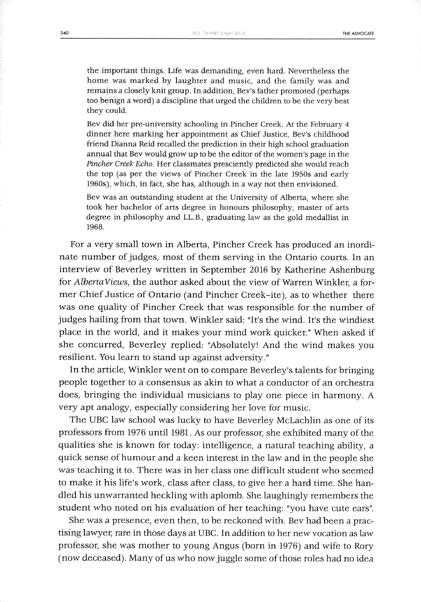the important things. Life *was* demanding, even hard. Nevertheless the home was marked **by** laughter and music, and the family was and remains a closely knit group. In addition, Bev's father promoted (perhaps too benign a word) a discipline that urged the children to be the very best they could.

Bev did her pre-university schooling in Pincher Creek. At the February 4 dinner here marking her appointment as Chief Justice, Bev's childhood friend Dianna Reid recalled the prediction in their high school graduation annual that Bev would grow up to be the editor of the women's page in the *Pincher Creek Echo.* Her classmates presciently predicted she would reach the top (as per the views of Pincher Creek in the late 1950s and early 1960s), which, in fact, she has, although in a way not then envisioned.

Bev was an outstanding student at the University of Alberta, where she took her bachelor of arts degree in honours philosophy, master of arts degree in philosophy and LL.B., graduating law as the gold medallist in **1968.**

For a very small town in Alberta, Pincher Creek has produced an inordinate number of judges, most of them serving in the Ontario courts. In an interview of Beverley written in September **2016 by** Katherine Ashenburg *for AlbertaViews,* the author asked about the view of Warren Winkler, a former Chief Justice of Ontario (and Pincher Creek-ite), as to whether there was one quality of Pincher Creek that was responsible for the number of judges hailing from that town. Winkler said: "It's the wind. It's the windiest place in the world, and it makes your mind work quicker." When asked if she concurred, Beverley replied: "Absolutely! And the wind makes you resilient. You learn to stand up against adversity."

In the article, Winkler went on to compare Beverley's talents for bringing people together to a consensus as akin to what a conductor of an orchestra does, bringing the individual musicians to play one piece in harmony. **A** very apt analogy, especially considering her love for music.

The **UBC** law school was lucky to have Beverley McLachlin as one of its professors from **1976** until **1981.** As our professor, she exhibited many of the qualities she is known for today: intelligence, a natural teaching ability, a quick sense of humour and a keen interest in the law and in the people she was teaching it to. There was in her class one difficult student who seemed to make it his life's work, class after class, to give her a hard time. She handled his unwarranted heckling with aplomb. **She** laughingly remembers the student who noted on his evaluation of her teaching: "you have cute ears".

She was a presence, even then, to be reckoned with. Bev had been a practising lawyer, rare in those days at **UBC.** In addition to her new vocation as law professor, she was mother to young Angus (born in **1976)** and wife to Rory (now deceased). Many of us who now juggle some of those roles had no idea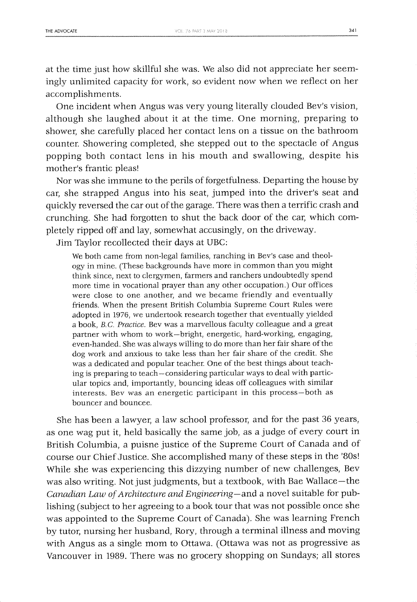accomplishments.

at the time just how skillful she was. We also did not appreciate her seemingly unlimited capacity for work, so evident now when we reflect on her

One incident when Angus was very young literally clouded Bev's vision, although she laughed about it at the time. One morning, preparing to shower, she carefully placed her contact lens on a tissue on the bathroom counter. Showering completed, she stepped out to the spectacle of Angus popping both contact lens in his mouth and swallowing, despite his mother's frantic pleas!

Nor was she immune to the perils of forgetfulness. Departing the house **by** car, she strapped Angus into his seat, jumped into the driver's seat and quickly reversed the car out of the garage. There was then a terrific crash and crunching. **She** had forgotten to shut the back door of the car, which completely ripped off and lay, somewhat accusingly, on the driveway.

Jim Tylor recollected their days at **UBC:**

We both came from non-legal families, ranching in Bev's case and theology in mine. (These backgrounds have more in common than you might think since, next to clergymen, farmers and ranchers undoubtedly spend more time in vocational prayer than any other occupation.) Our offices were close to one another, and we became friendly and eventually friends. When the present British Columbia Supreme Court Rules were adopted in **1976,** we undertook research together that eventually yielded a book, *B.C Practice.* Bev was a marvellous faculty colleague and a great partner with whom to work-bright, energetic, hard-working, engaging, even-handed. She was always willing to do more than her fair share of the dog work and anxious to take less than her fair share of the credit. She was a dedicated and popular teacher. One of the best things about teaching is preparing to teach-considering particular ways to deal with particular topics and, importantly, bouncing ideas off colleagues with similar interests. Bev was an energetic participant in this process-both as bouncer and bouncee.

**She** has been a lawyer, a law school professor, and for the past **36** years, as one wag put it, **held** basically the same **job,** as a **judge** of every court in British Columbia, a puisne justice of the Supreme Court of Canada and of course our Chief Justice. She accomplished many of these steps in the '80s! While she was experiencing this dizzying number of new challenges, Bev was also writing. Not just judgments, but a textbook, with Bae Wallace-the *Canadian Law of Architecture and Engineering-and* a novel suitable for publishing (subject to her agreeing to a book tour that was not possible once she was appointed to the Supreme Court of Canada). She was learning French by tutor, nursing her husband, Rory, through a terminal illness and moving with Angus as a single mom to Ottawa. (Ottawa was not as progressive as Vancouver in **1989.** There was no grocery shopping on Sundays; all stores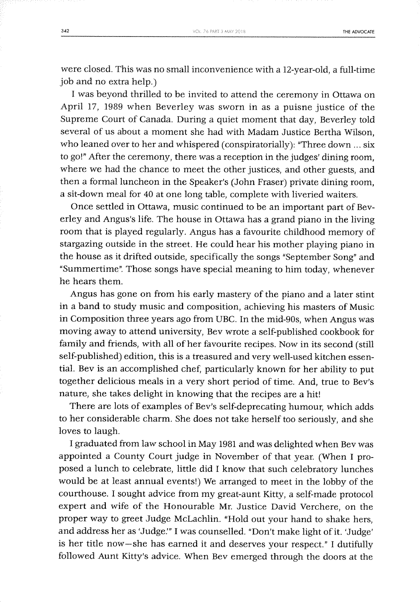were closed. This was no small inconvenience with a 12-year-old, a full-time **job** and no extra help.)

**<sup>I</sup>**was beyond thrilled to be invited to attend the ceremony in Ottawa on April **17, 1989** when Beverley was sworn in as a puisne justice of the Supreme Court of Canada. During a quiet moment that day, Beverley told several of us about a moment she had with Madam Justice Bertha Wilson, who leaned over to her and whispered (conspiratorially): "Three down **...** six to go!" After the ceremony, there was a reception in the judges' dining room, where we had the chance to meet the other justices, and other guests, and then a formal luncheon in the Speaker's (John Fraser) private dining room, a sit-down meal for 40 at one long table, complete with liveried waiters.

Once settled in Ottawa, music continued to be an important part of Beverley and Angus's life. The house in Ottawa has a grand piano in the living room that is played regularly. Angus has a favourite childhood memory of stargazing outside in the street. He could hear his mother playing piano in the house as it drifted outside, specifically the songs "September Song" and "Summertime". Those songs have special meaning to him today, whenever he hears them.

Angus has gone on from his early mastery of the piano and a later stint in a band to study music and composition, achieving his masters of Music in Composition three years ago from **UBC.** In the mid-90s, when Angus was moving away to attend university, Bev wrote a self-published cookbook for family and friends, with all of her favourite recipes. Now in its second (still self-published) edition, this is a treasured and very well-used kitchen essential. Bev is an accomplished chef, particularly known for her ability to put together delicious meals in a very short period of time. And, true to Bev's nature, she takes delight in knowing that the recipes are a hit!

There are lots of examples of Bev's self-deprecating humour, which adds to her considerable charm. She does not take herself too seriously, and she loves to laugh.

**<sup>I</sup>**graduated from law school in May **1981** and was delighted when Bev was appointed a County Court judge in November of that year. (When **I** proposed a lunch to celebrate, little did **I** know that such celebratory lunches would be at least annual events!) We arranged to meet in the lobby of the courthouse. **I** sought advice from my great-aunt Kitty, a self-made protocol expert and wife of the Honourable Mr. Justice David Verchere, on the proper way to greet Judge McLachlin. "Hold out your hand to shake hers, and address her as 'Judge."' **I** was counselled. "Don't make light of it. 'Judge' is her title now-she has earned it and deserves your respect." **I** dutifully followed Aunt Kitty's advice. When Bev emerged through the doors at the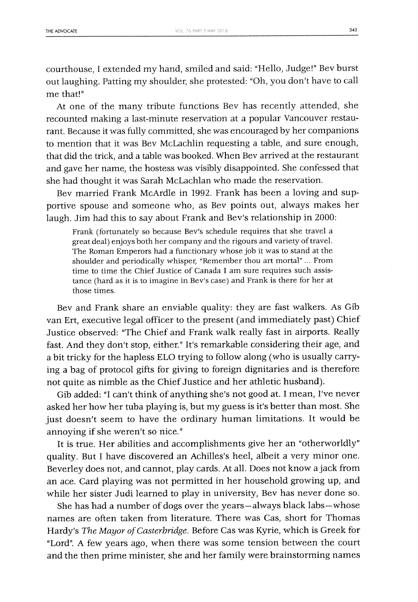courthouse, **I** extended my hand, smiled and said: "Hello, Judge!" Bev burst out laughing. Patting my shoulder, she protested: "Oh, you don't have to call me that!"

At one of the many tribute functions Bev has recently attended, she recounted making a last-minute reservation at a popular Vancouver restaurant. Because it was fully committed, she was encouraged **by** her companions to mention that it was Bev McLachlin requesting a table, and sure enough, that did the trick, and a table was booked. When Bev arrived at the restaurant and gave her name, the hostess was visibly disappointed. She confessed that she had thought it was Sarah McLachlan who made the reservation.

Bev married Frank McArdle in **1992.** Frank has been a loving and supportive spouse and someone who, as Bev points out, always makes her laugh. Jim had this to say about Frank and Bev's relationship in 2000:

Frank (fortunately so because Bev's schedule requires that she travel a great deal) enjoys both her company and the rigours and variety of travel. The Roman Emperors had a functionary whose job it was to stand at the shoulder and periodically whisper, "Remember thou art mortal" ... From time to time the Chief Justice of Canada **I** am sure requires such assistance (hard as it is to imagine in Bev's case) and Frank is there for her at those times.

Bev and Frank share an enviable quality: they are fast walkers. As Gib van Ert, executive legal officer to the present (and immediately past) Chief Justice observed: "The Chief and Frank walk really fast in airports. Really fast. And they don't stop, either." It's remarkable considering their age, and a bit tricky for the hapless **ELO** trying to follow along (who is usually carrying a bag of protocol gifts for giving to foreign dignitaries and is therefore not quite as nimble as the Chief Justice and her athletic husband).

Gib added: **"I** can't think of anything she's not good at. **I** mean, I've never asked her how her tuba playing is, but my guess is it's better than most. **She** just doesn't seem to have the ordinary human limitations. It would **be** annoying if she weren't so nice."

It is true. Her abilities and accomplishments give her an "otherworldly" quality. But **I** have discovered an Achilles's heel, albeit a very minor one. Beverley does not, and cannot, play cards. At all. Does not know a jack from an ace. Card playing was not permitted in her household growing up, and while her sister Judi learned to play in university, Bev has never done so.

**She** has had a number of dogs over the years-always black labs-whose names are often taken from literature. There was Cas, short for Thomas Hardy's *The Mayor of Casterbridge.* Before Cas was Kyrie, which is Greek for "Lord". **A** few years ago, when there was some tension between the court and the then prime minister, she and her family were brainstorming names